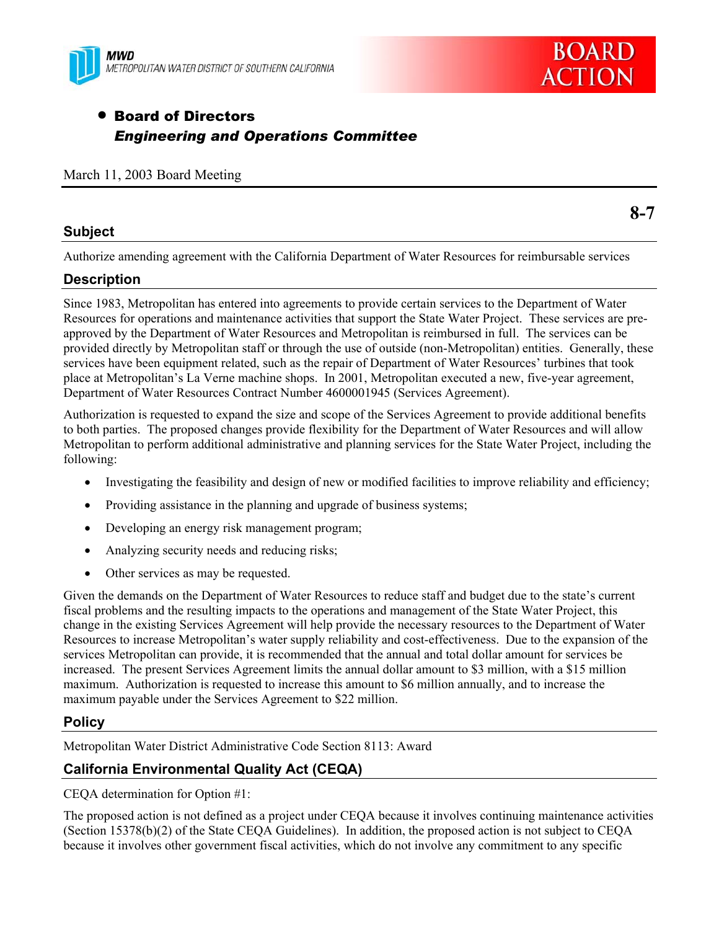



# **• Board of Directors** *Engineering and Operations Committee*

## March 11, 2003 Board Meeting

# **Subject**

Authorize amending agreement with the California Department of Water Resources for reimbursable services

# **Description**

Since 1983, Metropolitan has entered into agreements to provide certain services to the Department of Water Resources for operations and maintenance activities that support the State Water Project. These services are preapproved by the Department of Water Resources and Metropolitan is reimbursed in full. The services can be provided directly by Metropolitan staff or through the use of outside (non-Metropolitan) entities. Generally, these services have been equipment related, such as the repair of Department of Water Resources' turbines that took place at Metropolitan's La Verne machine shops. In 2001, Metropolitan executed a new, five-year agreement, Department of Water Resources Contract Number 4600001945 (Services Agreement).

Authorization is requested to expand the size and scope of the Services Agreement to provide additional benefits to both parties. The proposed changes provide flexibility for the Department of Water Resources and will allow Metropolitan to perform additional administrative and planning services for the State Water Project, including the following:

- Investigating the feasibility and design of new or modified facilities to improve reliability and efficiency;
- Providing assistance in the planning and upgrade of business systems;
- Developing an energy risk management program;
- $\bullet$  Analyzing security needs and reducing risks;
- Other services as may be requested.

Given the demands on the Department of Water Resources to reduce staff and budget due to the state's current fiscal problems and the resulting impacts to the operations and management of the State Water Project, this change in the existing Services Agreement will help provide the necessary resources to the Department of Water Resources to increase Metropolitan's water supply reliability and cost-effectiveness. Due to the expansion of the services Metropolitan can provide, it is recommended that the annual and total dollar amount for services be increased. The present Services Agreement limits the annual dollar amount to \$3 million, with a \$15 million maximum. Authorization is requested to increase this amount to \$6 million annually, and to increase the maximum payable under the Services Agreement to \$22 million.

# **Policy**

Metropolitan Water District Administrative Code Section 8113: Award

# **California Environmental Quality Act (CEQA)**

CEQA determination for Option #1:

The proposed action is not defined as a project under CEQA because it involves continuing maintenance activities (Section 15378(b)(2) of the State CEQA Guidelines). In addition, the proposed action is not subject to CEQA because it involves other government fiscal activities, which do not involve any commitment to any specific

**8-7**